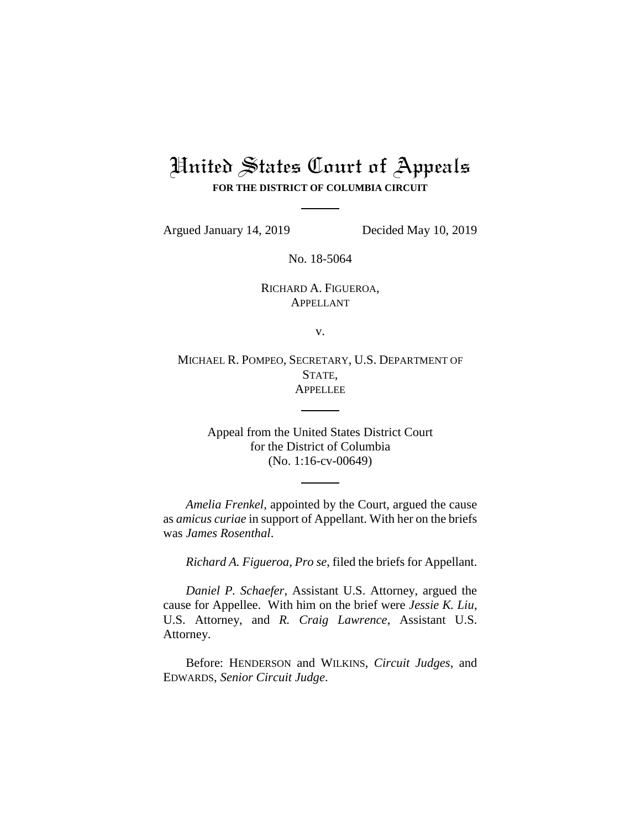# United States Court of Appeals **FOR THE DISTRICT OF COLUMBIA CIRCUIT**

Argued January 14, 2019 Decided May 10, 2019

No. 18-5064

RICHARD A. FIGUEROA, APPELLANT

v.

MICHAEL R. POMPEO, SECRETARY, U.S. DEPARTMENT OF STATE, **APPELLEE** 

> Appeal from the United States District Court for the District of Columbia (No. 1:16-cv-00649)

*Amelia Frenkel*, appointed by the Court, argued the cause as *amicus curiae* in support of Appellant. With her on the briefs was *James Rosenthal*.

*Richard A. Figueroa*, *Pro se*, filed the briefs for Appellant.

*Daniel P. Schaefer*, Assistant U.S. Attorney, argued the cause for Appellee. With him on the brief were *Jessie K. Liu*, U.S. Attorney, and *R. Craig Lawrence*, Assistant U.S. Attorney.

Before: HENDERSON and WILKINS, *Circuit Judges*, and EDWARDS, *Senior Circuit Judge*.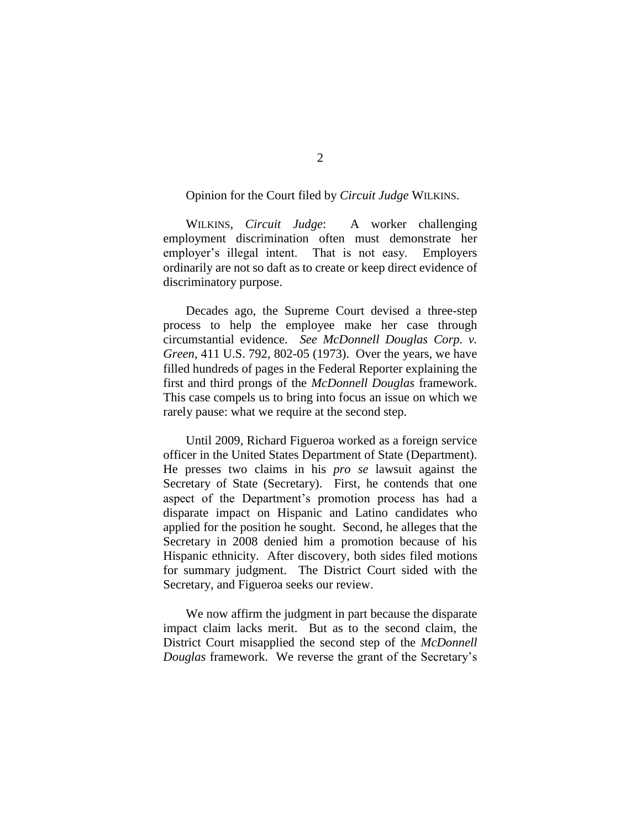## Opinion for the Court filed by *Circuit Judge* WILKINS.

WILKINS, *Circuit Judge*: A worker challenging employment discrimination often must demonstrate her employer's illegal intent. That is not easy. Employers ordinarily are not so daft as to create or keep direct evidence of discriminatory purpose.

Decades ago, the Supreme Court devised a three-step process to help the employee make her case through circumstantial evidence. *See McDonnell Douglas Corp. v. Green*, 411 U.S. 792, 802-05 (1973). Over the years, we have filled hundreds of pages in the Federal Reporter explaining the first and third prongs of the *McDonnell Douglas* framework. This case compels us to bring into focus an issue on which we rarely pause: what we require at the second step.

Until 2009, Richard Figueroa worked as a foreign service officer in the United States Department of State (Department). He presses two claims in his *pro se* lawsuit against the Secretary of State (Secretary). First, he contends that one aspect of the Department's promotion process has had a disparate impact on Hispanic and Latino candidates who applied for the position he sought. Second, he alleges that the Secretary in 2008 denied him a promotion because of his Hispanic ethnicity. After discovery, both sides filed motions for summary judgment. The District Court sided with the Secretary, and Figueroa seeks our review.

We now affirm the judgment in part because the disparate impact claim lacks merit. But as to the second claim, the District Court misapplied the second step of the *McDonnell Douglas* framework. We reverse the grant of the Secretary's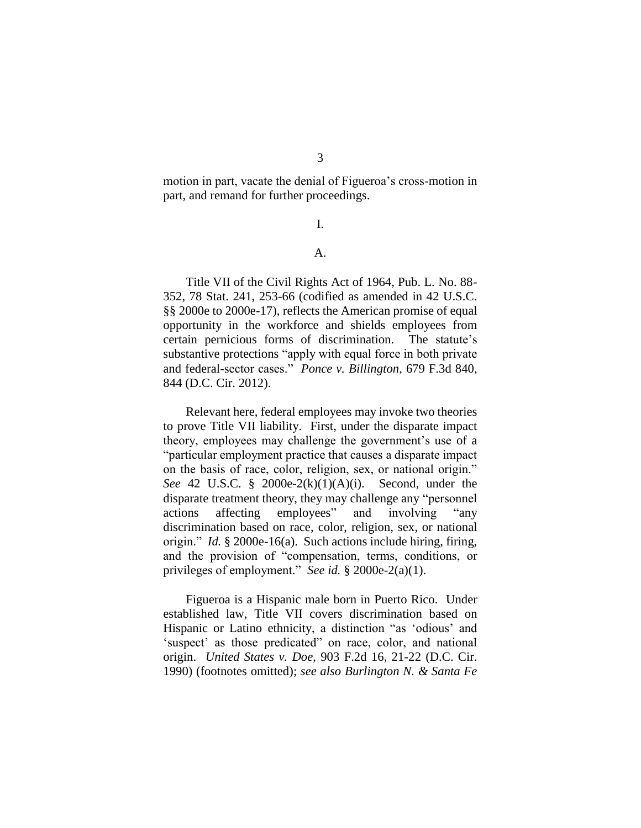motion in part, vacate the denial of Figueroa's cross-motion in part, and remand for further proceedings.

I.

# A.

Title VII of the Civil Rights Act of 1964, Pub. L. No. 88- 352, 78 Stat. 241, 253-66 (codified as amended in 42 U.S.C. §§ 2000e to 2000e-17), reflects the American promise of equal opportunity in the workforce and shields employees from certain pernicious forms of discrimination. The statute's substantive protections "apply with equal force in both private and federal-sector cases." *Ponce v. Billington*, 679 F.3d 840, 844 (D.C. Cir. 2012).

Relevant here, federal employees may invoke two theories to prove Title VII liability. First, under the disparate impact theory, employees may challenge the government's use of a "particular employment practice that causes a disparate impact on the basis of race, color, religion, sex, or national origin." *See* 42 U.S.C. § 2000e-2(k)(1)(A)(i). Second, under the disparate treatment theory, they may challenge any "personnel actions affecting employees" and involving "any discrimination based on race, color, religion, sex, or national origin." *Id.* § 2000e-16(a). Such actions include hiring, firing, and the provision of "compensation, terms, conditions, or privileges of employment." *See id.* § 2000e-2(a)(1).

Figueroa is a Hispanic male born in Puerto Rico. Under established law, Title VII covers discrimination based on Hispanic or Latino ethnicity, a distinction "as 'odious' and 'suspect' as those predicated" on race, color, and national origin. *United States v. Doe*, 903 F.2d 16, 21-22 (D.C. Cir. 1990) (footnotes omitted); *see also Burlington N. & Santa Fe*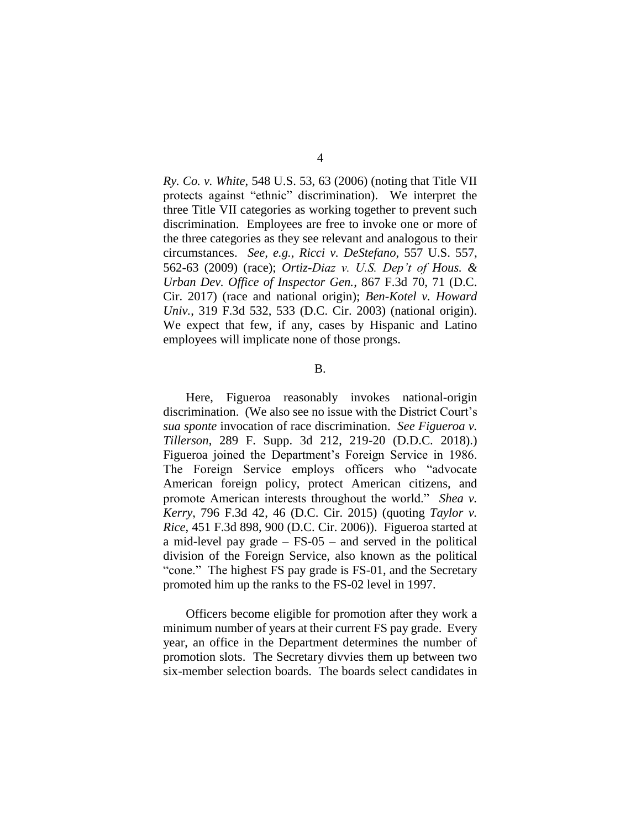*Ry. Co. v. White*, 548 U.S. 53, 63 (2006) (noting that Title VII protects against "ethnic" discrimination). We interpret the three Title VII categories as working together to prevent such discrimination. Employees are free to invoke one or more of the three categories as they see relevant and analogous to their circumstances. *See, e.g.*, *Ricci v. DeStefano*, 557 U.S. 557, 562-63 (2009) (race); *Ortiz-Diaz v. U.S. Dep't of Hous. & Urban Dev. Office of Inspector Gen.*, 867 F.3d 70, 71 (D.C. Cir. 2017) (race and national origin); *Ben-Kotel v. Howard Univ.*, 319 F.3d 532, 533 (D.C. Cir. 2003) (national origin). We expect that few, if any, cases by Hispanic and Latino employees will implicate none of those prongs.

#### B.

Here, Figueroa reasonably invokes national-origin discrimination. (We also see no issue with the District Court's *sua sponte* invocation of race discrimination. *See Figueroa v. Tillerson*, 289 F. Supp. 3d 212, 219-20 (D.D.C. 2018).) Figueroa joined the Department's Foreign Service in 1986. The Foreign Service employs officers who "advocate American foreign policy, protect American citizens, and promote American interests throughout the world." *Shea v. Kerry*, 796 F.3d 42, 46 (D.C. Cir. 2015) (quoting *Taylor v. Rice*, 451 F.3d 898, 900 (D.C. Cir. 2006)). Figueroa started at a mid-level pay grade – FS-05 – and served in the political division of the Foreign Service, also known as the political "cone." The highest FS pay grade is FS-01, and the Secretary promoted him up the ranks to the FS-02 level in 1997.

Officers become eligible for promotion after they work a minimum number of years at their current FS pay grade. Every year, an office in the Department determines the number of promotion slots. The Secretary divvies them up between two six-member selection boards. The boards select candidates in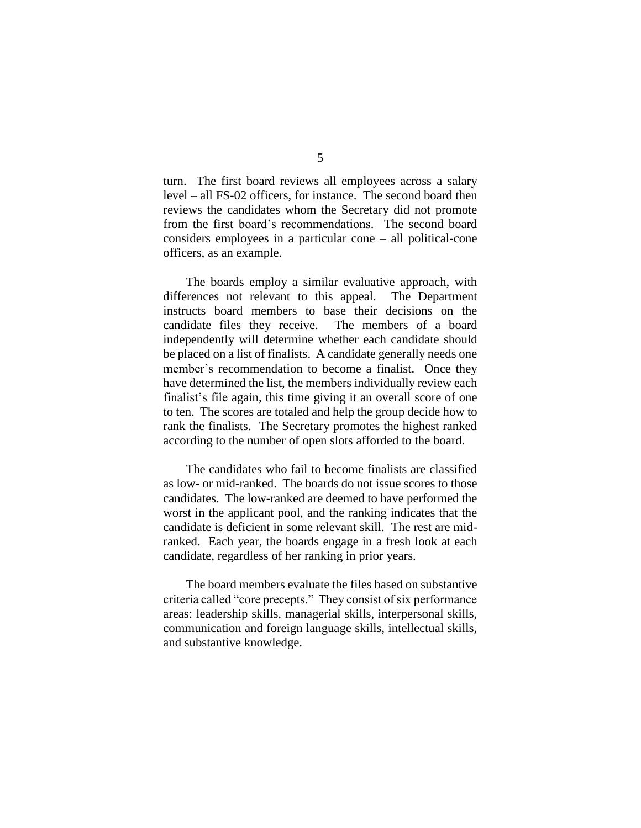turn. The first board reviews all employees across a salary level – all FS-02 officers, for instance. The second board then reviews the candidates whom the Secretary did not promote from the first board's recommendations. The second board considers employees in a particular cone – all political-cone officers, as an example.

The boards employ a similar evaluative approach, with differences not relevant to this appeal. The Department instructs board members to base their decisions on the candidate files they receive. The members of a board independently will determine whether each candidate should be placed on a list of finalists. A candidate generally needs one member's recommendation to become a finalist. Once they have determined the list, the members individually review each finalist's file again, this time giving it an overall score of one to ten. The scores are totaled and help the group decide how to rank the finalists. The Secretary promotes the highest ranked according to the number of open slots afforded to the board.

The candidates who fail to become finalists are classified as low- or mid-ranked. The boards do not issue scores to those candidates. The low-ranked are deemed to have performed the worst in the applicant pool, and the ranking indicates that the candidate is deficient in some relevant skill. The rest are midranked. Each year, the boards engage in a fresh look at each candidate, regardless of her ranking in prior years.

The board members evaluate the files based on substantive criteria called "core precepts." They consist of six performance areas: leadership skills, managerial skills, interpersonal skills, communication and foreign language skills, intellectual skills, and substantive knowledge.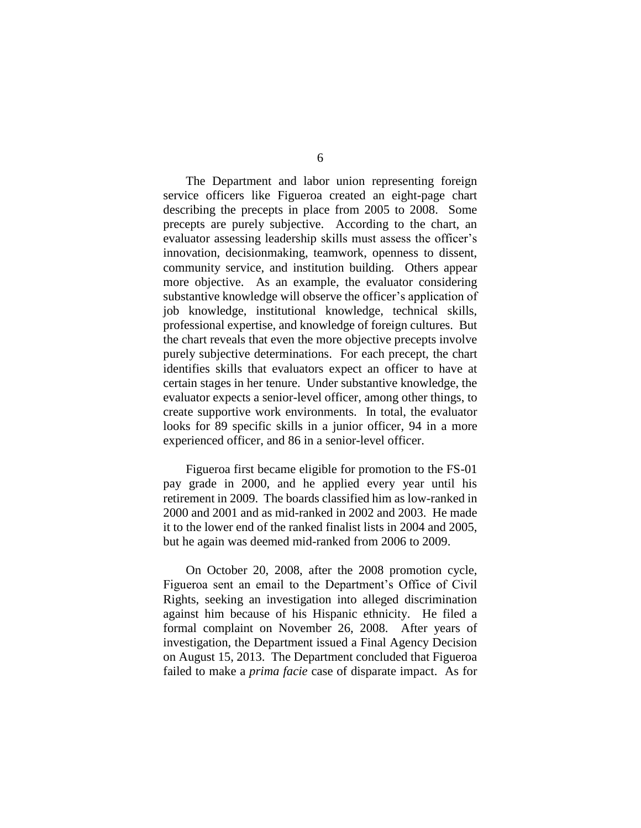The Department and labor union representing foreign service officers like Figueroa created an eight-page chart describing the precepts in place from 2005 to 2008. Some precepts are purely subjective. According to the chart, an evaluator assessing leadership skills must assess the officer's innovation, decisionmaking, teamwork, openness to dissent, community service, and institution building. Others appear more objective. As an example, the evaluator considering substantive knowledge will observe the officer's application of job knowledge, institutional knowledge, technical skills, professional expertise, and knowledge of foreign cultures. But the chart reveals that even the more objective precepts involve purely subjective determinations. For each precept, the chart identifies skills that evaluators expect an officer to have at certain stages in her tenure. Under substantive knowledge, the evaluator expects a senior-level officer, among other things, to create supportive work environments. In total, the evaluator looks for 89 specific skills in a junior officer, 94 in a more experienced officer, and 86 in a senior-level officer.

Figueroa first became eligible for promotion to the FS-01 pay grade in 2000, and he applied every year until his retirement in 2009. The boards classified him as low-ranked in 2000 and 2001 and as mid-ranked in 2002 and 2003. He made it to the lower end of the ranked finalist lists in 2004 and 2005, but he again was deemed mid-ranked from 2006 to 2009.

On October 20, 2008, after the 2008 promotion cycle, Figueroa sent an email to the Department's Office of Civil Rights, seeking an investigation into alleged discrimination against him because of his Hispanic ethnicity. He filed a formal complaint on November 26, 2008. After years of investigation, the Department issued a Final Agency Decision on August 15, 2013. The Department concluded that Figueroa failed to make a *prima facie* case of disparate impact. As for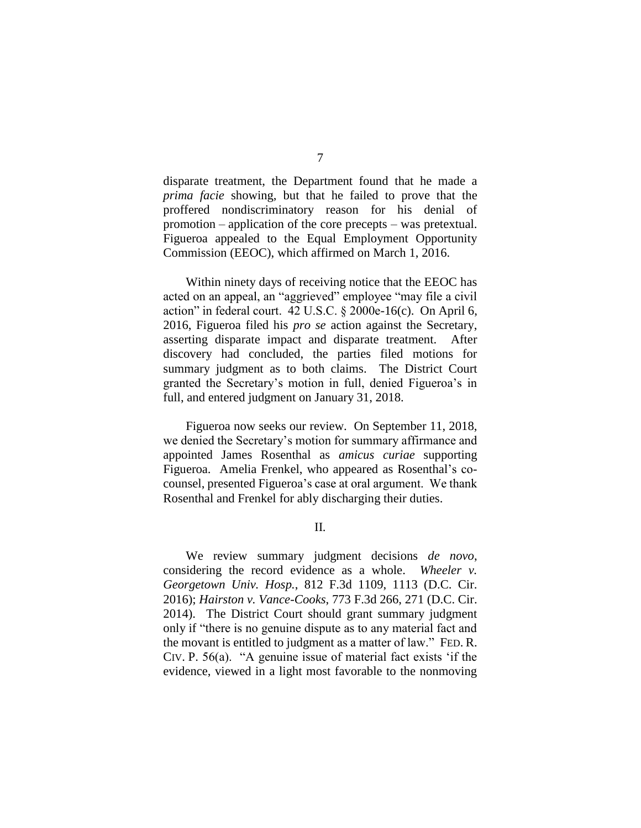disparate treatment, the Department found that he made a *prima facie* showing, but that he failed to prove that the proffered nondiscriminatory reason for his denial of promotion – application of the core precepts – was pretextual. Figueroa appealed to the Equal Employment Opportunity Commission (EEOC), which affirmed on March 1, 2016.

Within ninety days of receiving notice that the EEOC has acted on an appeal, an "aggrieved" employee "may file a civil action" in federal court. 42 U.S.C. § 2000e-16(c). On April 6, 2016, Figueroa filed his *pro se* action against the Secretary, asserting disparate impact and disparate treatment. After discovery had concluded, the parties filed motions for summary judgment as to both claims. The District Court granted the Secretary's motion in full, denied Figueroa's in full, and entered judgment on January 31, 2018.

Figueroa now seeks our review. On September 11, 2018, we denied the Secretary's motion for summary affirmance and appointed James Rosenthal as *amicus curiae* supporting Figueroa. Amelia Frenkel, who appeared as Rosenthal's cocounsel, presented Figueroa's case at oral argument. We thank Rosenthal and Frenkel for ably discharging their duties.

II.

We review summary judgment decisions *de novo*, considering the record evidence as a whole. *Wheeler v. Georgetown Univ. Hosp.*, 812 F.3d 1109, 1113 (D.C. Cir. 2016); *Hairston v. Vance-Cooks*, 773 F.3d 266, 271 (D.C. Cir. 2014). The District Court should grant summary judgment only if "there is no genuine dispute as to any material fact and the movant is entitled to judgment as a matter of law." FED. R. CIV. P. 56(a). "A genuine issue of material fact exists 'if the evidence, viewed in a light most favorable to the nonmoving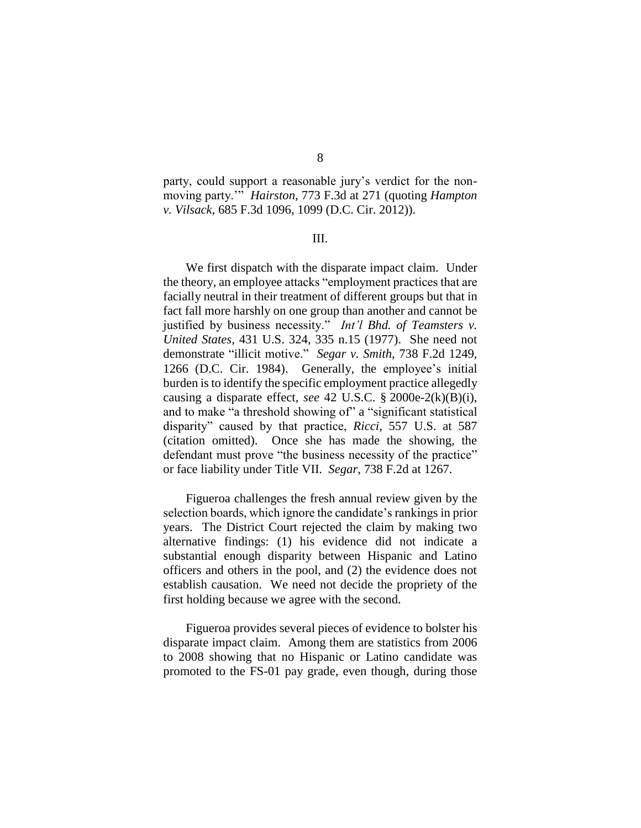party, could support a reasonable jury's verdict for the nonmoving party.'" *Hairston*, 773 F.3d at 271 (quoting *Hampton v. Vilsack*, 685 F.3d 1096, 1099 (D.C. Cir. 2012)).

#### III.

We first dispatch with the disparate impact claim. Under the theory, an employee attacks "employment practices that are facially neutral in their treatment of different groups but that in fact fall more harshly on one group than another and cannot be justified by business necessity." *Int'l Bhd. of Teamsters v. United States*, 431 U.S. 324, 335 n.15 (1977). She need not demonstrate "illicit motive." *Segar v. Smith*, 738 F.2d 1249, 1266 (D.C. Cir. 1984). Generally, the employee's initial burden is to identify the specific employment practice allegedly causing a disparate effect, *see* 42 U.S.C. § 2000e-2(k)(B)(i), and to make "a threshold showing of" a "significant statistical disparity" caused by that practice, *Ricci*, 557 U.S. at 587 (citation omitted). Once she has made the showing, the defendant must prove "the business necessity of the practice" or face liability under Title VII. *Segar*, 738 F.2d at 1267.

Figueroa challenges the fresh annual review given by the selection boards, which ignore the candidate's rankings in prior years. The District Court rejected the claim by making two alternative findings: (1) his evidence did not indicate a substantial enough disparity between Hispanic and Latino officers and others in the pool, and (2) the evidence does not establish causation. We need not decide the propriety of the first holding because we agree with the second.

Figueroa provides several pieces of evidence to bolster his disparate impact claim. Among them are statistics from 2006 to 2008 showing that no Hispanic or Latino candidate was promoted to the FS-01 pay grade, even though, during those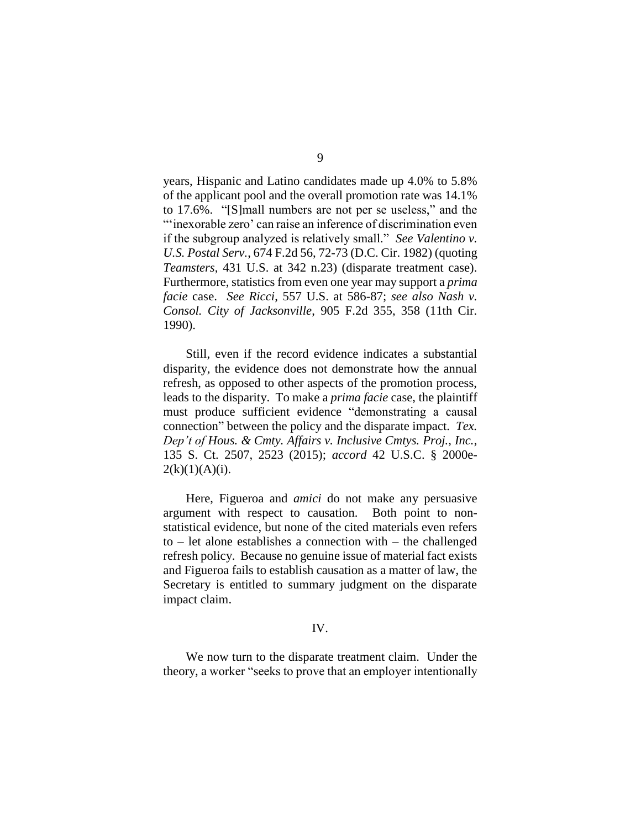years, Hispanic and Latino candidates made up 4.0% to 5.8% of the applicant pool and the overall promotion rate was 14.1% to 17.6%. "[S]mall numbers are not per se useless," and the "'inexorable zero' can raise an inference of discrimination even if the subgroup analyzed is relatively small." *See Valentino v. U.S. Postal Serv.*, 674 F.2d 56, 72-73 (D.C. Cir. 1982) (quoting *Teamsters*, 431 U.S. at 342 n.23) (disparate treatment case). Furthermore, statistics from even one year may support a *prima facie* case. *See Ricci*, 557 U.S. at 586-87; *see also Nash v. Consol. City of Jacksonville*, 905 F.2d 355, 358 (11th Cir. 1990).

Still, even if the record evidence indicates a substantial disparity, the evidence does not demonstrate how the annual refresh, as opposed to other aspects of the promotion process, leads to the disparity. To make a *prima facie* case, the plaintiff must produce sufficient evidence "demonstrating a causal connection" between the policy and the disparate impact. *Tex. Dep't of Hous. & Cmty. Affairs v. Inclusive Cmtys. Proj., Inc.*, 135 S. Ct. 2507, 2523 (2015); *accord* 42 U.S.C. § 2000e- $2(k)(1)(A)(i)$ .

Here, Figueroa and *amici* do not make any persuasive argument with respect to causation. Both point to nonstatistical evidence, but none of the cited materials even refers to – let alone establishes a connection with – the challenged refresh policy. Because no genuine issue of material fact exists and Figueroa fails to establish causation as a matter of law, the Secretary is entitled to summary judgment on the disparate impact claim.

### IV.

We now turn to the disparate treatment claim. Under the theory, a worker "seeks to prove that an employer intentionally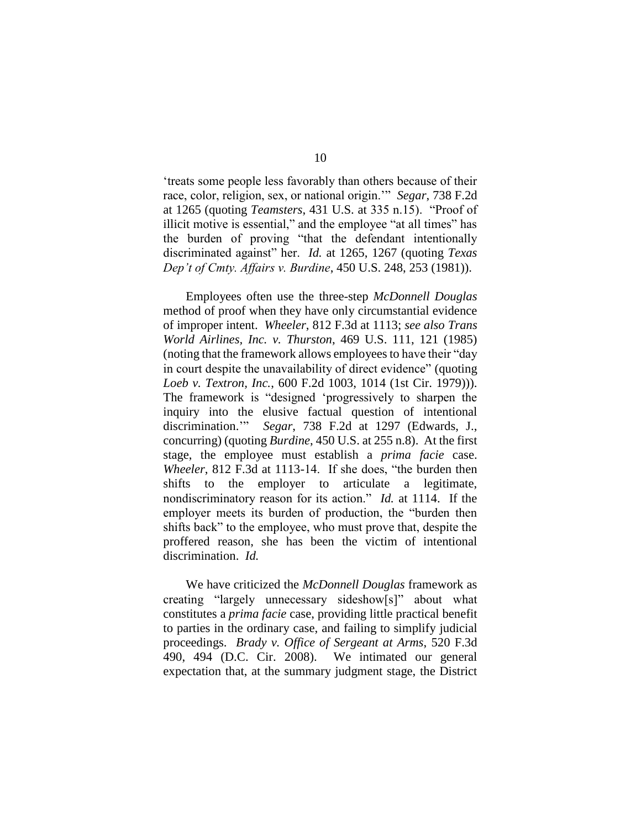'treats some people less favorably than others because of their race, color, religion, sex, or national origin.'" *Segar*, 738 F.2d at 1265 (quoting *Teamsters*, 431 U.S. at 335 n.15). "Proof of illicit motive is essential," and the employee "at all times" has the burden of proving "that the defendant intentionally discriminated against" her. *Id.* at 1265, 1267 (quoting *Texas Dep't of Cmty. Affairs v. Burdine*, 450 U.S. 248, 253 (1981)).

Employees often use the three-step *McDonnell Douglas* method of proof when they have only circumstantial evidence of improper intent. *Wheeler*, 812 F.3d at 1113; *see also Trans World Airlines, Inc. v. Thurston*, 469 U.S. 111, 121 (1985) (noting that the framework allows employees to have their "day in court despite the unavailability of direct evidence" (quoting *Loeb v. Textron, Inc.*, 600 F.2d 1003, 1014 (1st Cir. 1979))). The framework is "designed 'progressively to sharpen the inquiry into the elusive factual question of intentional discrimination.'" *Segar*, 738 F.2d at 1297 (Edwards, J., concurring) (quoting *Burdine*, 450 U.S. at 255 n.8). At the first stage, the employee must establish a *prima facie* case. *Wheeler*, 812 F.3d at 1113-14. If she does, "the burden then shifts to the employer to articulate a legitimate, nondiscriminatory reason for its action." *Id.* at 1114. If the employer meets its burden of production, the "burden then shifts back" to the employee, who must prove that, despite the proffered reason, she has been the victim of intentional discrimination. *Id.*

We have criticized the *McDonnell Douglas* framework as creating "largely unnecessary sideshow[s]" about what constitutes a *prima facie* case, providing little practical benefit to parties in the ordinary case, and failing to simplify judicial proceedings. *Brady v. Office of Sergeant at Arms*, 520 F.3d 490, 494 (D.C. Cir. 2008). We intimated our general expectation that, at the summary judgment stage, the District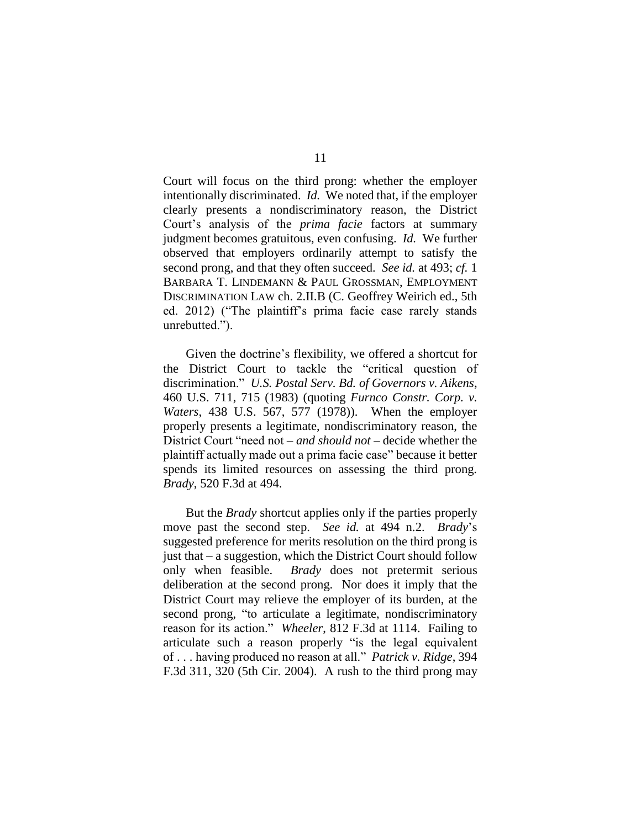Court will focus on the third prong: whether the employer intentionally discriminated. *Id.* We noted that, if the employer clearly presents a nondiscriminatory reason, the District Court's analysis of the *prima facie* factors at summary judgment becomes gratuitous, even confusing. *Id.* We further observed that employers ordinarily attempt to satisfy the second prong, and that they often succeed. *See id.* at 493; *cf.* 1 BARBARA T. LINDEMANN & PAUL GROSSMAN, EMPLOYMENT DISCRIMINATION LAW ch. 2.II.B (C. Geoffrey Weirich ed., 5th ed. 2012) ("The plaintiff's prima facie case rarely stands unrebutted.").

Given the doctrine's flexibility, we offered a shortcut for the District Court to tackle the "critical question of discrimination." *U.S. Postal Serv. Bd. of Governors v. Aikens*, 460 U.S. 711, 715 (1983) (quoting *Furnco Constr. Corp. v. Waters*, 438 U.S. 567, 577 (1978)). When the employer properly presents a legitimate, nondiscriminatory reason, the District Court "need not – *and should not* – decide whether the plaintiff actually made out a prima facie case" because it better spends its limited resources on assessing the third prong. *Brady*, 520 F.3d at 494.

But the *Brady* shortcut applies only if the parties properly move past the second step. *See id.* at 494 n.2. *Brady*'s suggested preference for merits resolution on the third prong is just that – a suggestion, which the District Court should follow only when feasible. *Brady* does not pretermit serious deliberation at the second prong. Nor does it imply that the District Court may relieve the employer of its burden, at the second prong, "to articulate a legitimate, nondiscriminatory reason for its action." *Wheeler*, 812 F.3d at 1114.Failing to articulate such a reason properly "is the legal equivalent of . . . having produced no reason at all." *Patrick v. Ridge*, 394 F.3d 311, 320 (5th Cir. 2004). A rush to the third prong may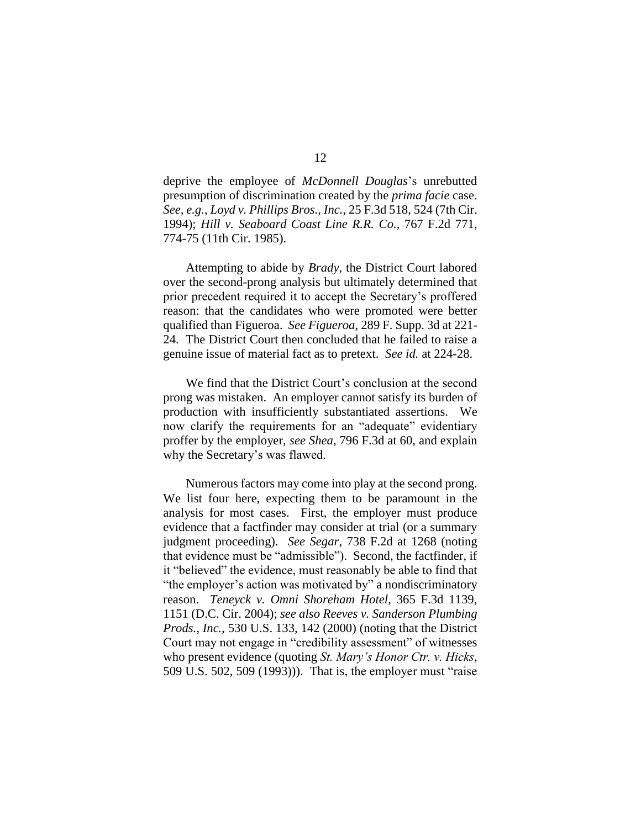deprive the employee of *McDonnell Douglas*'s unrebutted presumption of discrimination created by the *prima facie* case. *See, e.g.*, *Loyd v. Phillips Bros., Inc.*, 25 F.3d 518, 524 (7th Cir. 1994); *Hill v. Seaboard Coast Line R.R. Co.*, 767 F.2d 771, 774-75 (11th Cir. 1985).

Attempting to abide by *Brady*, the District Court labored over the second-prong analysis but ultimately determined that prior precedent required it to accept the Secretary's proffered reason: that the candidates who were promoted were better qualified than Figueroa. *See Figueroa*, 289 F. Supp. 3d at 221- 24. The District Court then concluded that he failed to raise a genuine issue of material fact as to pretext. *See id.* at 224-28.

We find that the District Court's conclusion at the second prong was mistaken. An employer cannot satisfy its burden of production with insufficiently substantiated assertions.We now clarify the requirements for an "adequate" evidentiary proffer by the employer, *see Shea*, 796 F.3d at 60, and explain why the Secretary's was flawed.

Numerous factors may come into play at the second prong. We list four here, expecting them to be paramount in the analysis for most cases. First, the employer must produce evidence that a factfinder may consider at trial (or a summary judgment proceeding). *See Segar*, 738 F.2d at 1268 (noting that evidence must be "admissible"). Second, the factfinder, if it "believed" the evidence, must reasonably be able to find that "the employer's action was motivated by" a nondiscriminatory reason. *Teneyck v. Omni Shoreham Hotel*, 365 F.3d 1139, 1151 (D.C. Cir. 2004); *see also Reeves v. Sanderson Plumbing Prods., Inc.*, 530 U.S. 133, 142 (2000) (noting that the District Court may not engage in "credibility assessment" of witnesses who present evidence (quoting *St. Mary's Honor Ctr. v. Hicks*, 509 U.S. 502, 509 (1993))). That is, the employer must "raise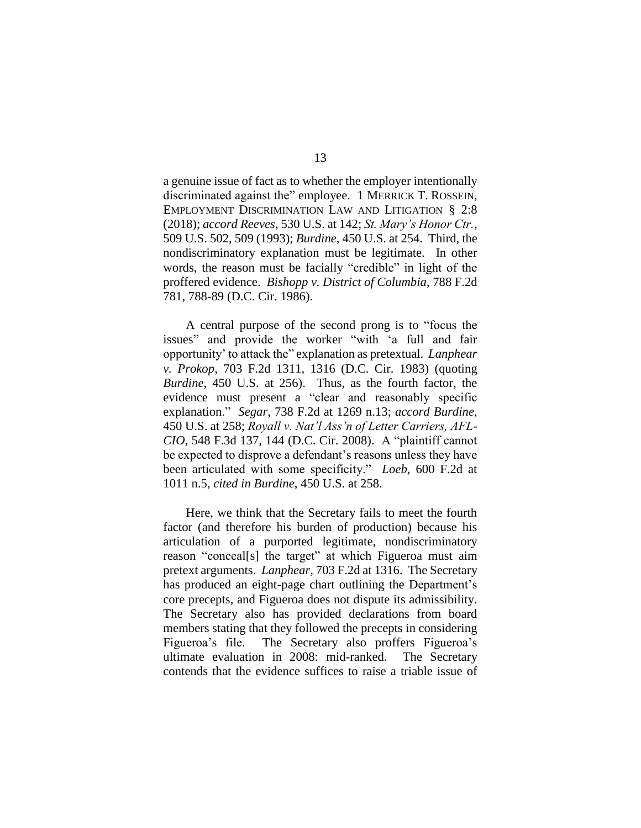a genuine issue of fact as to whether the employer intentionally discriminated against the" employee. 1 MERRICK T. ROSSEIN, EMPLOYMENT DISCRIMINATION LAW AND LITIGATION § 2:8 (2018); *accord Reeves*, 530 U.S. at 142; *St. Mary's Honor Ctr.*, 509 U.S. 502, 509 (1993); *Burdine*, 450 U.S. at 254. Third, the nondiscriminatory explanation must be legitimate. In other words, the reason must be facially "credible" in light of the proffered evidence. *Bishopp v. District of Columbia*, 788 F.2d 781, 788-89 (D.C. Cir. 1986).

A central purpose of the second prong is to "focus the issues" and provide the worker "with 'a full and fair opportunity' to attack the" explanation as pretextual. *Lanphear v. Prokop*, 703 F.2d 1311, 1316 (D.C. Cir. 1983) (quoting *Burdine*, 450 U.S. at 256). Thus, as the fourth factor, the evidence must present a "clear and reasonably specific explanation." *Segar*, 738 F.2d at 1269 n.13; *accord Burdine*, 450 U.S. at 258; *Royall v. Nat'l Ass'n of Letter Carriers, AFL-CIO*, 548 F.3d 137, 144 (D.C. Cir. 2008). A "plaintiff cannot be expected to disprove a defendant's reasons unless they have been articulated with some specificity." *Loeb*, 600 F.2d at 1011 n.5, *cited in Burdine*, 450 U.S. at 258.

Here, we think that the Secretary fails to meet the fourth factor (and therefore his burden of production) because his articulation of a purported legitimate, nondiscriminatory reason "conceal[s] the target" at which Figueroa must aim pretext arguments. *Lanphear*, 703 F.2d at 1316. The Secretary has produced an eight-page chart outlining the Department's core precepts, and Figueroa does not dispute its admissibility. The Secretary also has provided declarations from board members stating that they followed the precepts in considering Figueroa's file. The Secretary also proffers Figueroa's ultimate evaluation in 2008: mid-ranked. The Secretary contends that the evidence suffices to raise a triable issue of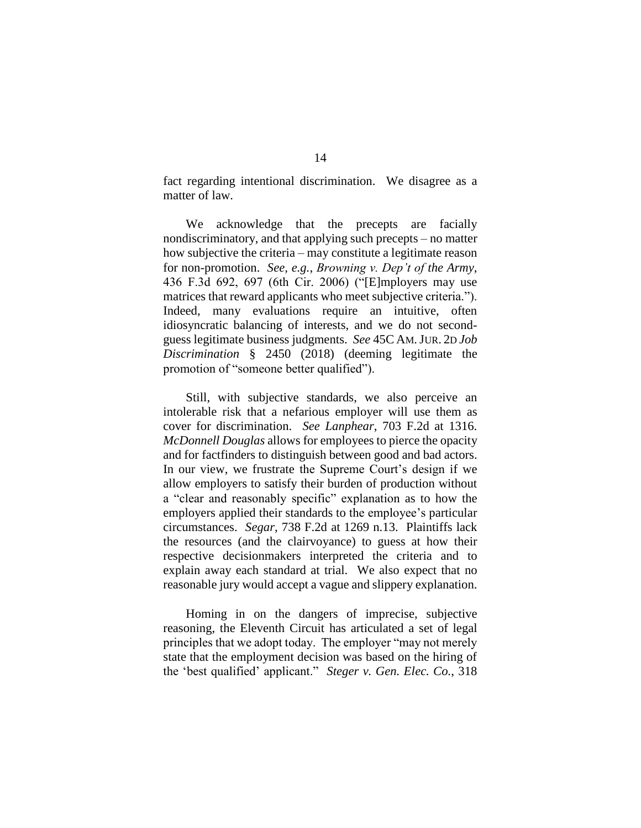fact regarding intentional discrimination. We disagree as a matter of law.

We acknowledge that the precepts are facially nondiscriminatory, and that applying such precepts – no matter how subjective the criteria – may constitute a legitimate reason for non-promotion. *See, e.g.*, *Browning v. Dep't of the Army*, 436 F.3d 692, 697 (6th Cir. 2006) ("[E]mployers may use matrices that reward applicants who meet subjective criteria."). Indeed, many evaluations require an intuitive, often idiosyncratic balancing of interests, and we do not secondguess legitimate business judgments. *See* 45C AM.JUR. 2D *Job Discrimination* § 2450 (2018) (deeming legitimate the promotion of "someone better qualified").

Still, with subjective standards, we also perceive an intolerable risk that a nefarious employer will use them as cover for discrimination. *See Lanphear*, 703 F.2d at 1316. *McDonnell Douglas* allows for employees to pierce the opacity and for factfinders to distinguish between good and bad actors. In our view, we frustrate the Supreme Court's design if we allow employers to satisfy their burden of production without a "clear and reasonably specific" explanation as to how the employers applied their standards to the employee's particular circumstances. *Segar*, 738 F.2d at 1269 n.13. Plaintiffs lack the resources (and the clairvoyance) to guess at how their respective decisionmakers interpreted the criteria and to explain away each standard at trial. We also expect that no reasonable jury would accept a vague and slippery explanation.

Homing in on the dangers of imprecise, subjective reasoning, the Eleventh Circuit has articulated a set of legal principles that we adopt today. The employer "may not merely state that the employment decision was based on the hiring of the 'best qualified' applicant." *Steger v. Gen. Elec. Co.*, 318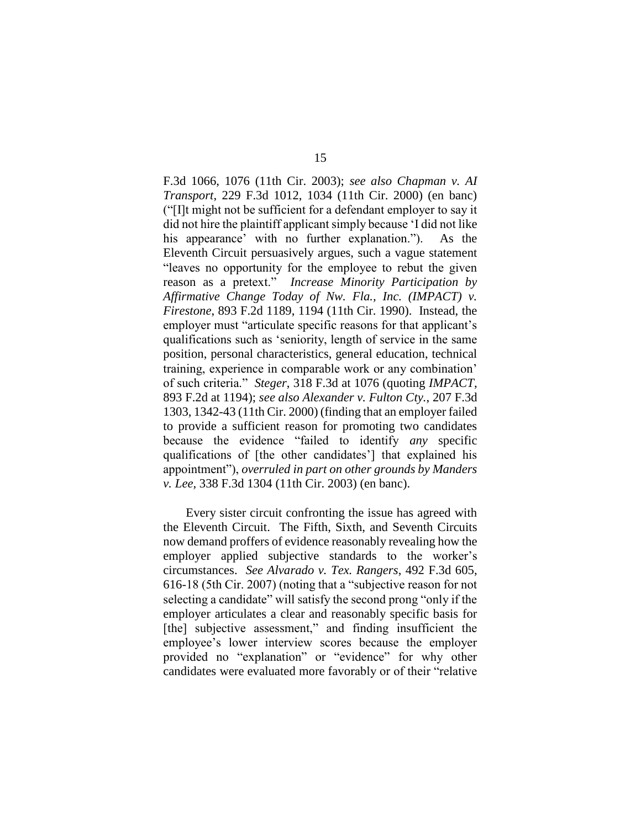F.3d 1066, 1076 (11th Cir. 2003); *see also Chapman v. AI Transport*, 229 F.3d 1012, 1034 (11th Cir. 2000) (en banc) ("[I]t might not be sufficient for a defendant employer to say it did not hire the plaintiff applicant simply because 'I did not like his appearance' with no further explanation."). As the Eleventh Circuit persuasively argues, such a vague statement "leaves no opportunity for the employee to rebut the given reason as a pretext." *Increase Minority Participation by Affirmative Change Today of Nw. Fla., Inc. (IMPACT) v. Firestone*, 893 F.2d 1189, 1194 (11th Cir. 1990).Instead, the employer must "articulate specific reasons for that applicant's qualifications such as 'seniority, length of service in the same position, personal characteristics, general education, technical training, experience in comparable work or any combination' of such criteria." *Steger*, 318 F.3d at 1076 (quoting *IMPACT*, 893 F.2d at 1194); *see also Alexander v. Fulton Cty.*, 207 F.3d 1303, 1342-43 (11th Cir. 2000) (finding that an employer failed to provide a sufficient reason for promoting two candidates because the evidence "failed to identify *any* specific qualifications of [the other candidates'] that explained his appointment"), *overruled in part on other grounds by Manders v. Lee*, 338 F.3d 1304 (11th Cir. 2003) (en banc).

Every sister circuit confronting the issue has agreed with the Eleventh Circuit. The Fifth, Sixth, and Seventh Circuits now demand proffers of evidence reasonably revealing how the employer applied subjective standards to the worker's circumstances. *See Alvarado v. Tex. Rangers*, 492 F.3d 605, 616-18 (5th Cir. 2007) (noting that a "subjective reason for not selecting a candidate" will satisfy the second prong "only if the employer articulates a clear and reasonably specific basis for [the] subjective assessment," and finding insufficient the employee's lower interview scores because the employer provided no "explanation" or "evidence" for why other candidates were evaluated more favorably or of their "relative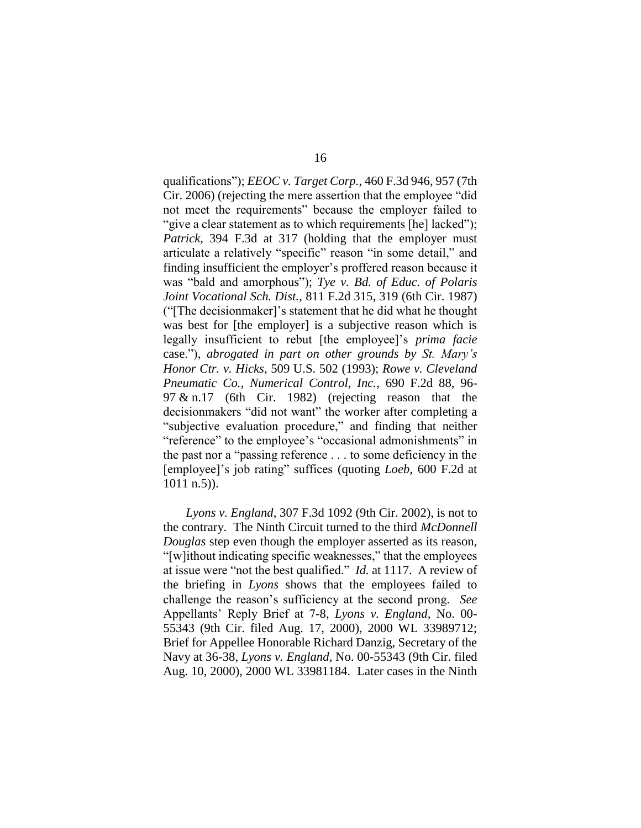qualifications"); *EEOC v. Target Corp.*, 460 F.3d 946, 957 (7th Cir. 2006) (rejecting the mere assertion that the employee "did not meet the requirements" because the employer failed to "give a clear statement as to which requirements [he] lacked"); *Patrick*, 394 F.3d at 317 (holding that the employer must articulate a relatively "specific" reason "in some detail," and finding insufficient the employer's proffered reason because it was "bald and amorphous"); *Tye v. Bd. of Educ. of Polaris Joint Vocational Sch. Dist.*, 811 F.2d 315, 319 (6th Cir. 1987) ("[The decisionmaker]'s statement that he did what he thought was best for [the employer] is a subjective reason which is legally insufficient to rebut [the employee]'s *prima facie* case."), *abrogated in part on other grounds by St. Mary's Honor Ctr. v. Hicks*, 509 U.S. 502 (1993); *Rowe v. Cleveland Pneumatic Co., Numerical Control, Inc.*, 690 F.2d 88, 96- 97 & n.17 (6th Cir. 1982) (rejecting reason that the decisionmakers "did not want" the worker after completing a "subjective evaluation procedure," and finding that neither "reference" to the employee's "occasional admonishments" in the past nor a "passing reference . . . to some deficiency in the [employee]'s job rating" suffices (quoting *Loeb*, 600 F.2d at 1011 n.5)).

*Lyons v. England*, 307 F.3d 1092 (9th Cir. 2002), is not to the contrary. The Ninth Circuit turned to the third *McDonnell Douglas* step even though the employer asserted as its reason, "[w]ithout indicating specific weaknesses," that the employees at issue were "not the best qualified." *Id.* at 1117. A review of the briefing in *Lyons* shows that the employees failed to challenge the reason's sufficiency at the second prong. *See* Appellants' Reply Brief at 7-8, *Lyons v. England*, No. 00- 55343 (9th Cir. filed Aug. 17, 2000), 2000 WL 33989712; Brief for Appellee Honorable Richard Danzig, Secretary of the Navy at 36-38, *Lyons v. England*, No. 00-55343 (9th Cir. filed Aug. 10, 2000), 2000 WL 33981184. Later cases in the Ninth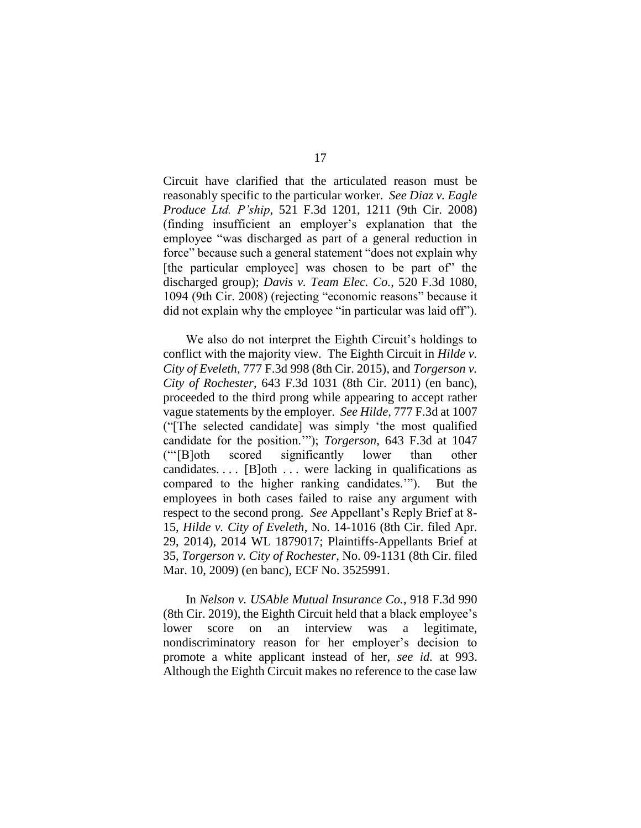Circuit have clarified that the articulated reason must be reasonably specific to the particular worker. *See Diaz v. Eagle Produce Ltd. P'ship*, 521 F.3d 1201, 1211 (9th Cir. 2008) (finding insufficient an employer's explanation that the employee "was discharged as part of a general reduction in force" because such a general statement "does not explain why [the particular employee] was chosen to be part of the discharged group); *Davis v. Team Elec. Co.*, 520 F.3d 1080, 1094 (9th Cir. 2008) (rejecting "economic reasons" because it did not explain why the employee "in particular was laid off").

We also do not interpret the Eighth Circuit's holdings to conflict with the majority view. The Eighth Circuit in *Hilde v. City of Eveleth*, 777 F.3d 998 (8th Cir. 2015), and *Torgerson v. City of Rochester*, 643 F.3d 1031 (8th Cir. 2011) (en banc), proceeded to the third prong while appearing to accept rather vague statements by the employer. *See Hilde*, 777 F.3d at 1007 ("[The selected candidate] was simply 'the most qualified candidate for the position.'"); *Torgerson*, 643 F.3d at 1047 ("'[B]oth scored significantly lower than other candidates....  $[B]$ oth ... were lacking in qualifications as compared to the higher ranking candidates.'"). But the employees in both cases failed to raise any argument with respect to the second prong. *See* Appellant's Reply Brief at 8- 15, *Hilde v. City of Eveleth*, No. 14-1016 (8th Cir. filed Apr. 29, 2014), 2014 WL 1879017; Plaintiffs-Appellants Brief at 35, *Torgerson v. City of Rochester*, No. 09-1131 (8th Cir. filed Mar. 10, 2009) (en banc), ECF No. 3525991.

In *Nelson v. USAble Mutual Insurance Co.*, 918 F.3d 990 (8th Cir. 2019), the Eighth Circuit held that a black employee's lower score on an interview was a legitimate, nondiscriminatory reason for her employer's decision to promote a white applicant instead of her, *see id.* at 993. Although the Eighth Circuit makes no reference to the case law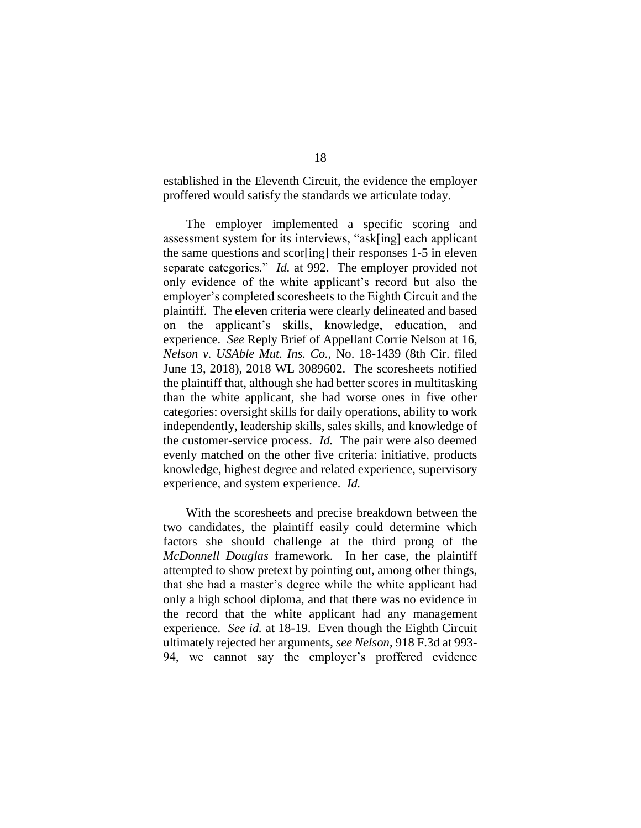established in the Eleventh Circuit, the evidence the employer proffered would satisfy the standards we articulate today.

The employer implemented a specific scoring and assessment system for its interviews, "ask[ing] each applicant the same questions and scor[ing] their responses 1-5 in eleven separate categories." *Id.* at 992. The employer provided not only evidence of the white applicant's record but also the employer's completed scoresheets to the Eighth Circuit and the plaintiff. The eleven criteria were clearly delineated and based on the applicant's skills, knowledge, education, and experience. *See* Reply Brief of Appellant Corrie Nelson at 16, *Nelson v. USAble Mut. Ins. Co.*, No. 18-1439 (8th Cir. filed June 13, 2018), 2018 WL 3089602. The scoresheets notified the plaintiff that, although she had better scores in multitasking than the white applicant, she had worse ones in five other categories: oversight skills for daily operations, ability to work independently, leadership skills, sales skills, and knowledge of the customer-service process. *Id.* The pair were also deemed evenly matched on the other five criteria: initiative, products knowledge, highest degree and related experience, supervisory experience, and system experience. *Id.*

With the scoresheets and precise breakdown between the two candidates, the plaintiff easily could determine which factors she should challenge at the third prong of the *McDonnell Douglas* framework. In her case, the plaintiff attempted to show pretext by pointing out, among other things, that she had a master's degree while the white applicant had only a high school diploma, and that there was no evidence in the record that the white applicant had any management experience. *See id.* at 18-19. Even though the Eighth Circuit ultimately rejected her arguments, *see Nelson*, 918 F.3d at 993- 94, we cannot say the employer's proffered evidence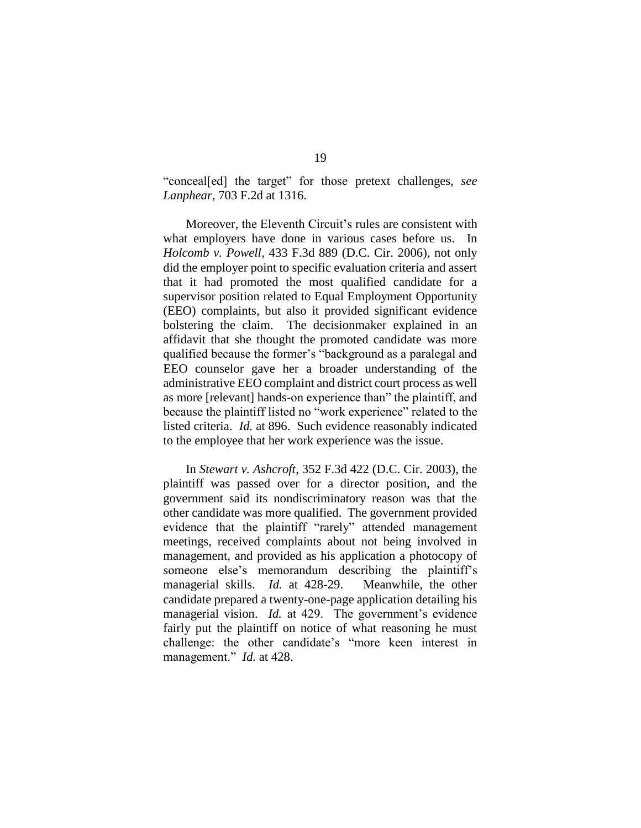"conceal[ed] the target" for those pretext challenges, *see Lanphear*, 703 F.2d at 1316.

Moreover, the Eleventh Circuit's rules are consistent with what employers have done in various cases before us. In *Holcomb v. Powell*, 433 F.3d 889 (D.C. Cir. 2006), not only did the employer point to specific evaluation criteria and assert that it had promoted the most qualified candidate for a supervisor position related to Equal Employment Opportunity (EEO) complaints, but also it provided significant evidence bolstering the claim. The decisionmaker explained in an affidavit that she thought the promoted candidate was more qualified because the former's "background as a paralegal and EEO counselor gave her a broader understanding of the administrative EEO complaint and district court process as well as more [relevant] hands-on experience than" the plaintiff, and because the plaintiff listed no "work experience" related to the listed criteria. *Id.* at 896. Such evidence reasonably indicated to the employee that her work experience was the issue.

In *Stewart v. Ashcroft*, 352 F.3d 422 (D.C. Cir. 2003), the plaintiff was passed over for a director position, and the government said its nondiscriminatory reason was that the other candidate was more qualified. The government provided evidence that the plaintiff "rarely" attended management meetings, received complaints about not being involved in management, and provided as his application a photocopy of someone else's memorandum describing the plaintiff's managerial skills. *Id.* at 428-29. Meanwhile, the other candidate prepared a twenty-one-page application detailing his managerial vision. *Id.* at 429. The government's evidence fairly put the plaintiff on notice of what reasoning he must challenge: the other candidate's "more keen interest in management." *Id.* at 428.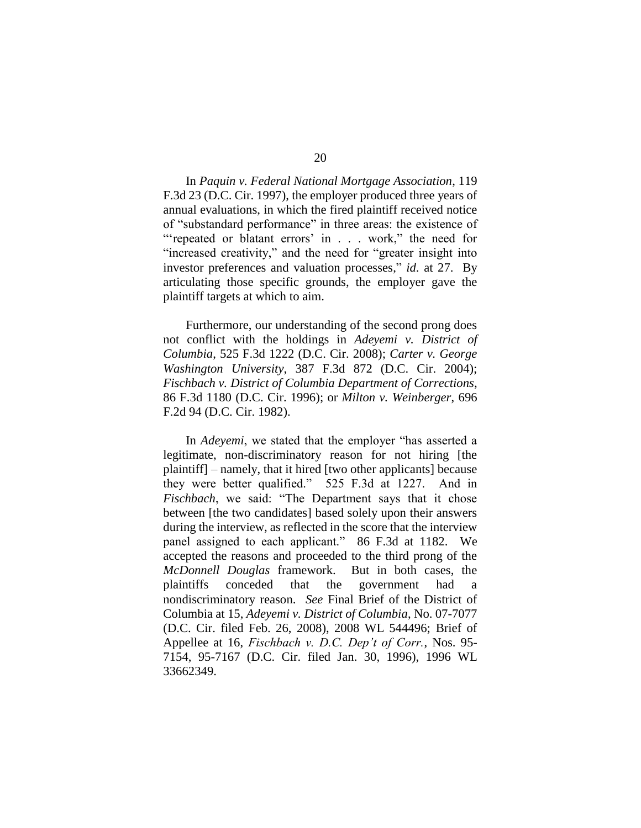In *Paquin v. Federal National Mortgage Association*, 119 F.3d 23 (D.C. Cir. 1997), the employer produced three years of annual evaluations, in which the fired plaintiff received notice of "substandard performance" in three areas: the existence of "'repeated or blatant errors' in . . . work," the need for "increased creativity," and the need for "greater insight into investor preferences and valuation processes," *id.* at 27. By articulating those specific grounds, the employer gave the plaintiff targets at which to aim.

Furthermore, our understanding of the second prong does not conflict with the holdings in *Adeyemi v. District of Columbia*, 525 F.3d 1222 (D.C. Cir. 2008); *Carter v. George Washington University*, 387 F.3d 872 (D.C. Cir. 2004); *Fischbach v. District of Columbia Department of Corrections*, 86 F.3d 1180 (D.C. Cir. 1996); or *Milton v. Weinberger*, 696 F.2d 94 (D.C. Cir. 1982).

In *Adeyemi*, we stated that the employer "has asserted a legitimate, non-discriminatory reason for not hiring [the plaintiff] – namely, that it hired [two other applicants] because they were better qualified." 525 F.3d at 1227. And in *Fischbach*, we said: "The Department says that it chose between [the two candidates] based solely upon their answers during the interview, as reflected in the score that the interview panel assigned to each applicant." 86 F.3d at 1182. We accepted the reasons and proceeded to the third prong of the *McDonnell Douglas* framework. But in both cases, the plaintiffs conceded that the government had nondiscriminatory reason. *See* Final Brief of the District of Columbia at 15, *Adeyemi v. District of Columbia*, No. 07-7077 (D.C. Cir. filed Feb. 26, 2008), 2008 WL 544496; Brief of Appellee at 16, *Fischbach v. D.C. Dep't of Corr.*, Nos. 95- 7154, 95-7167 (D.C. Cir. filed Jan. 30, 1996), 1996 WL 33662349.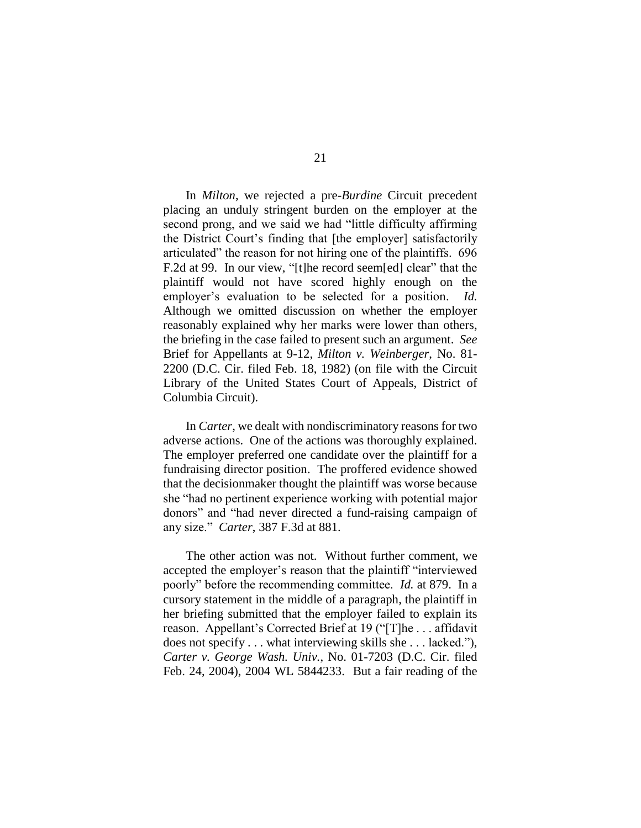In *Milton*, we rejected a pre-*Burdine* Circuit precedent placing an unduly stringent burden on the employer at the second prong, and we said we had "little difficulty affirming the District Court's finding that [the employer] satisfactorily articulated" the reason for not hiring one of the plaintiffs. 696 F.2d at 99. In our view, "[t]he record seem[ed] clear" that the plaintiff would not have scored highly enough on the employer's evaluation to be selected for a position. *Id.* Although we omitted discussion on whether the employer reasonably explained why her marks were lower than others, the briefing in the case failed to present such an argument. *See* Brief for Appellants at 9-12, *Milton v. Weinberger*, No. 81- 2200 (D.C. Cir. filed Feb. 18, 1982) (on file with the Circuit Library of the United States Court of Appeals, District of Columbia Circuit).

In *Carter*, we dealt with nondiscriminatory reasons for two adverse actions. One of the actions was thoroughly explained. The employer preferred one candidate over the plaintiff for a fundraising director position. The proffered evidence showed that the decisionmaker thought the plaintiff was worse because she "had no pertinent experience working with potential major donors" and "had never directed a fund-raising campaign of any size." *Carter*, 387 F.3d at 881.

The other action was not. Without further comment, we accepted the employer's reason that the plaintiff "interviewed poorly" before the recommending committee. *Id.* at 879. In a cursory statement in the middle of a paragraph, the plaintiff in her briefing submitted that the employer failed to explain its reason. Appellant's Corrected Brief at 19 ("[T]he . . . affidavit does not specify . . . what interviewing skills she . . . lacked."), *Carter v. George Wash. Univ.*, No. 01-7203 (D.C. Cir. filed Feb. 24, 2004), 2004 WL 5844233. But a fair reading of the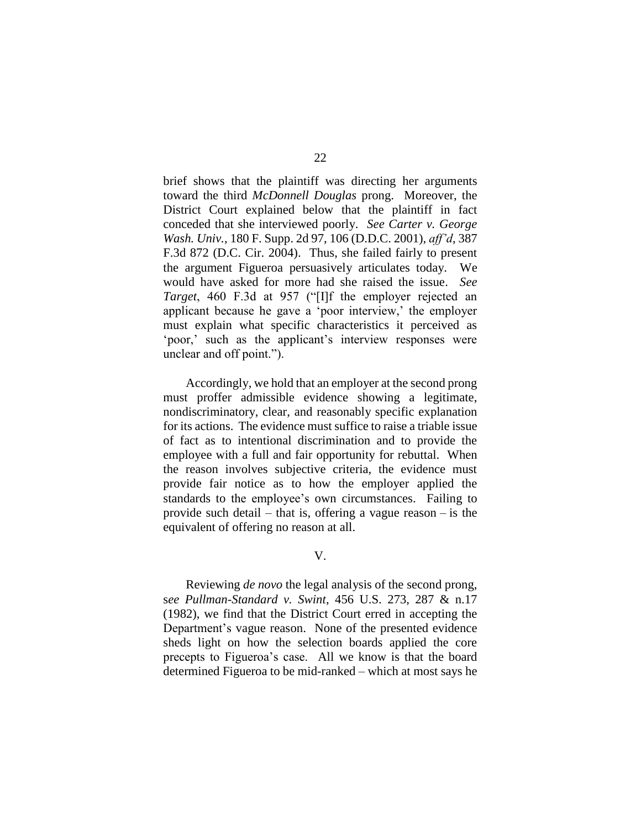brief shows that the plaintiff was directing her arguments toward the third *McDonnell Douglas* prong. Moreover, the District Court explained below that the plaintiff in fact conceded that she interviewed poorly. *See Carter v. George Wash. Univ.*, 180 F. Supp. 2d 97, 106 (D.D.C. 2001), *aff'd*, 387 F.3d 872 (D.C. Cir. 2004). Thus, she failed fairly to present the argument Figueroa persuasively articulates today. We would have asked for more had she raised the issue. *See Target*, 460 F.3d at 957 ("[I]f the employer rejected an applicant because he gave a 'poor interview,' the employer must explain what specific characteristics it perceived as 'poor,' such as the applicant's interview responses were unclear and off point.").

Accordingly, we hold that an employer at the second prong must proffer admissible evidence showing a legitimate, nondiscriminatory, clear, and reasonably specific explanation for its actions. The evidence must suffice to raise a triable issue of fact as to intentional discrimination and to provide the employee with a full and fair opportunity for rebuttal. When the reason involves subjective criteria, the evidence must provide fair notice as to how the employer applied the standards to the employee's own circumstances. Failing to provide such detail – that is, offering a vague reason – is the equivalent of offering no reason at all.

V.

Reviewing *de novo* the legal analysis of the second prong, s*ee Pullman-Standard v. Swint*, 456 U.S. 273, 287 & n.17 (1982), we find that the District Court erred in accepting the Department's vague reason. None of the presented evidence sheds light on how the selection boards applied the core precepts to Figueroa's case. All we know is that the board determined Figueroa to be mid-ranked – which at most says he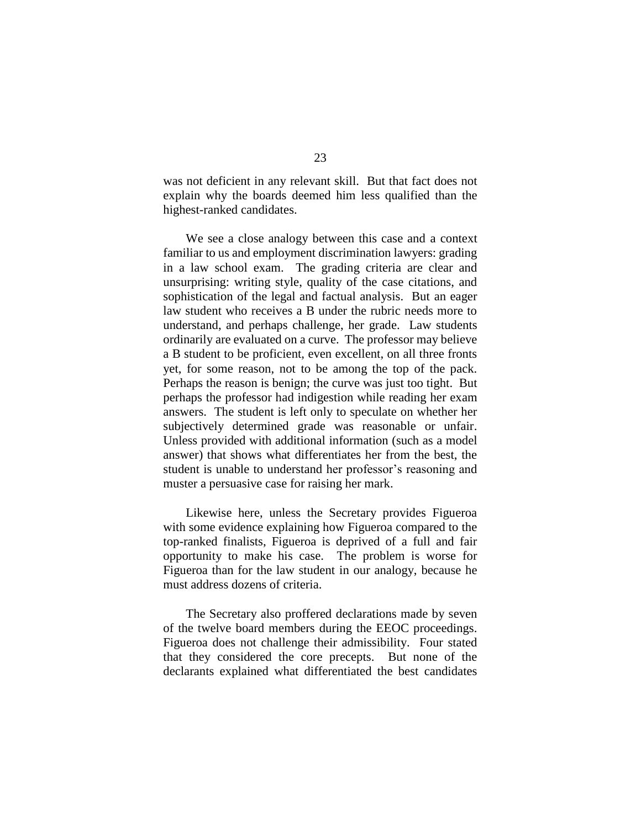was not deficient in any relevant skill. But that fact does not explain why the boards deemed him less qualified than the highest-ranked candidates.

We see a close analogy between this case and a context familiar to us and employment discrimination lawyers: grading in a law school exam. The grading criteria are clear and unsurprising: writing style, quality of the case citations, and sophistication of the legal and factual analysis. But an eager law student who receives a B under the rubric needs more to understand, and perhaps challenge, her grade. Law students ordinarily are evaluated on a curve. The professor may believe a B student to be proficient, even excellent, on all three fronts yet, for some reason, not to be among the top of the pack. Perhaps the reason is benign; the curve was just too tight. But perhaps the professor had indigestion while reading her exam answers. The student is left only to speculate on whether her subjectively determined grade was reasonable or unfair. Unless provided with additional information (such as a model answer) that shows what differentiates her from the best, the student is unable to understand her professor's reasoning and muster a persuasive case for raising her mark.

Likewise here, unless the Secretary provides Figueroa with some evidence explaining how Figueroa compared to the top-ranked finalists, Figueroa is deprived of a full and fair opportunity to make his case. The problem is worse for Figueroa than for the law student in our analogy, because he must address dozens of criteria.

The Secretary also proffered declarations made by seven of the twelve board members during the EEOC proceedings. Figueroa does not challenge their admissibility. Four stated that they considered the core precepts. But none of the declarants explained what differentiated the best candidates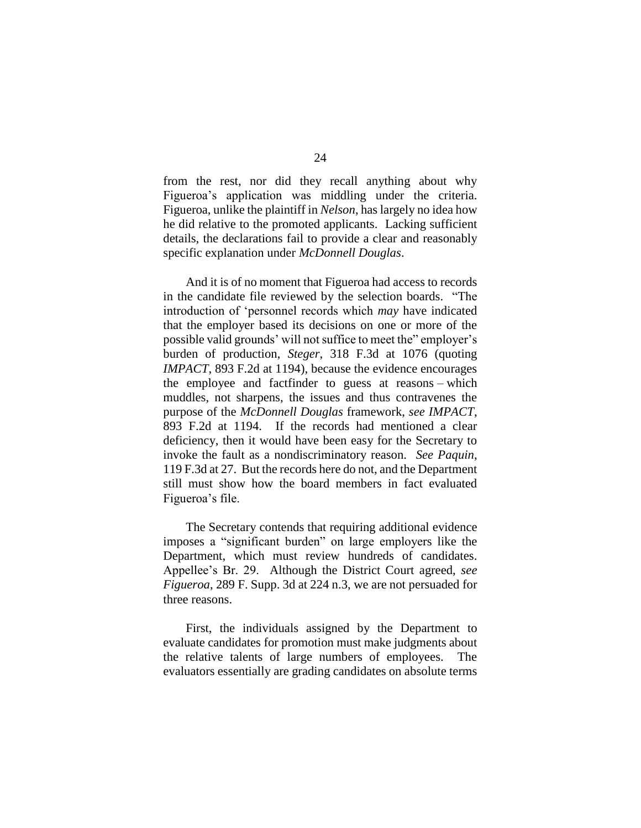from the rest, nor did they recall anything about why Figueroa's application was middling under the criteria. Figueroa, unlike the plaintiff in *Nelson*, has largely no idea how he did relative to the promoted applicants. Lacking sufficient details, the declarations fail to provide a clear and reasonably specific explanation under *McDonnell Douglas*.

And it is of no moment that Figueroa had access to records in the candidate file reviewed by the selection boards. "The introduction of 'personnel records which *may* have indicated that the employer based its decisions on one or more of the possible valid grounds' will not suffice to meet the" employer's burden of production, *Steger*, 318 F.3d at 1076 (quoting *IMPACT*, 893 F.2d at 1194), because the evidence encourages the employee and factfinder to guess at reasons – which muddles, not sharpens, the issues and thus contravenes the purpose of the *McDonnell Douglas* framework, *see IMPACT*, 893 F.2d at 1194. If the records had mentioned a clear deficiency, then it would have been easy for the Secretary to invoke the fault as a nondiscriminatory reason. *See Paquin*, 119 F.3d at 27. But the records here do not, and the Department still must show how the board members in fact evaluated Figueroa's file.

The Secretary contends that requiring additional evidence imposes a "significant burden" on large employers like the Department, which must review hundreds of candidates. Appellee's Br. 29. Although the District Court agreed, *see Figueroa*, 289 F. Supp. 3d at 224 n.3, we are not persuaded for three reasons.

First, the individuals assigned by the Department to evaluate candidates for promotion must make judgments about the relative talents of large numbers of employees. The evaluators essentially are grading candidates on absolute terms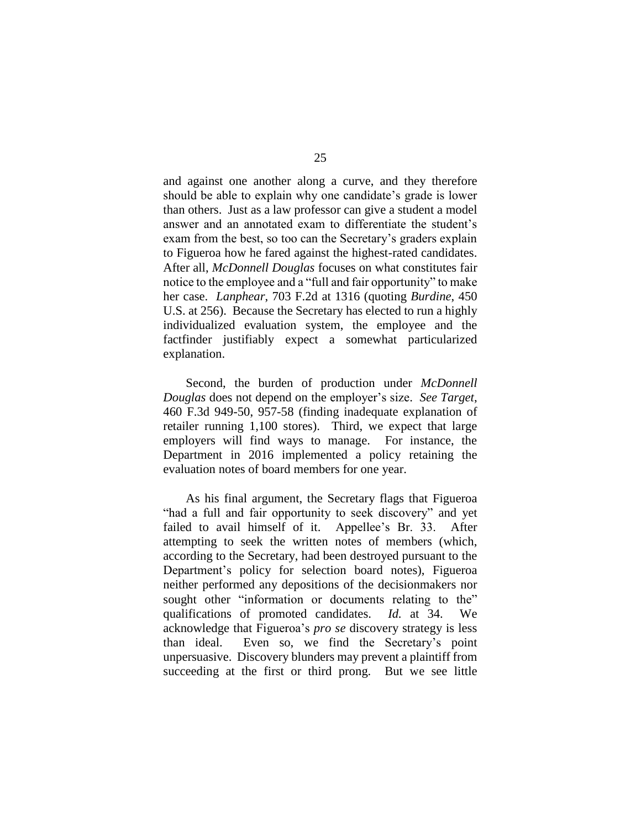and against one another along a curve, and they therefore should be able to explain why one candidate's grade is lower than others. Just as a law professor can give a student a model answer and an annotated exam to differentiate the student's exam from the best, so too can the Secretary's graders explain to Figueroa how he fared against the highest-rated candidates. After all, *McDonnell Douglas* focuses on what constitutes fair notice to the employee and a "full and fair opportunity" to make her case. *Lanphear*, 703 F.2d at 1316 (quoting *Burdine*, 450 U.S. at 256). Because the Secretary has elected to run a highly individualized evaluation system, the employee and the factfinder justifiably expect a somewhat particularized explanation.

Second, the burden of production under *McDonnell Douglas* does not depend on the employer's size. *See Target*, 460 F.3d 949-50, 957-58 (finding inadequate explanation of retailer running 1,100 stores). Third, we expect that large employers will find ways to manage. For instance, the Department in 2016 implemented a policy retaining the evaluation notes of board members for one year.

As his final argument, the Secretary flags that Figueroa "had a full and fair opportunity to seek discovery" and yet failed to avail himself of it. Appellee's Br. 33. After attempting to seek the written notes of members (which, according to the Secretary, had been destroyed pursuant to the Department's policy for selection board notes), Figueroa neither performed any depositions of the decisionmakers nor sought other "information or documents relating to the" qualifications of promoted candidates. *Id.* at 34. We acknowledge that Figueroa's *pro se* discovery strategy is less than ideal. Even so, we find the Secretary's point unpersuasive. Discovery blunders may prevent a plaintiff from succeeding at the first or third prong. But we see little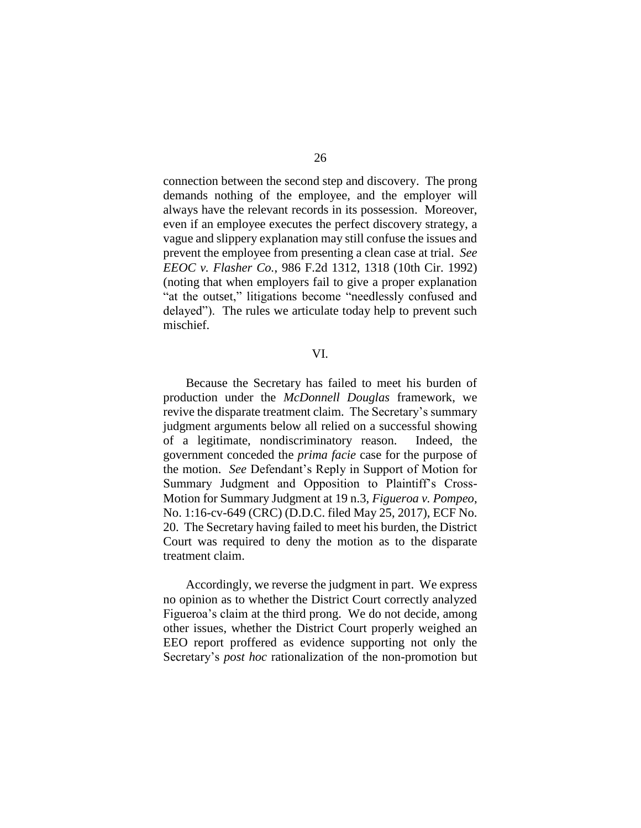connection between the second step and discovery. The prong demands nothing of the employee, and the employer will always have the relevant records in its possession. Moreover, even if an employee executes the perfect discovery strategy, a vague and slippery explanation may still confuse the issues and prevent the employee from presenting a clean case at trial. *See EEOC v. Flasher Co.*, 986 F.2d 1312, 1318 (10th Cir. 1992) (noting that when employers fail to give a proper explanation "at the outset," litigations become "needlessly confused and delayed"). The rules we articulate today help to prevent such mischief.

#### VI.

Because the Secretary has failed to meet his burden of production under the *McDonnell Douglas* framework, we revive the disparate treatment claim. The Secretary's summary judgment arguments below all relied on a successful showing of a legitimate, nondiscriminatory reason. Indeed, the government conceded the *prima facie* case for the purpose of the motion. *See* Defendant's Reply in Support of Motion for Summary Judgment and Opposition to Plaintiff's Cross-Motion for Summary Judgment at 19 n.3, *Figueroa v. Pompeo*, No. 1:16-cv-649 (CRC) (D.D.C. filed May 25, 2017), ECF No. 20. The Secretary having failed to meet his burden, the District Court was required to deny the motion as to the disparate treatment claim.

Accordingly, we reverse the judgment in part. We express no opinion as to whether the District Court correctly analyzed Figueroa's claim at the third prong. We do not decide, among other issues, whether the District Court properly weighed an EEO report proffered as evidence supporting not only the Secretary's *post hoc* rationalization of the non-promotion but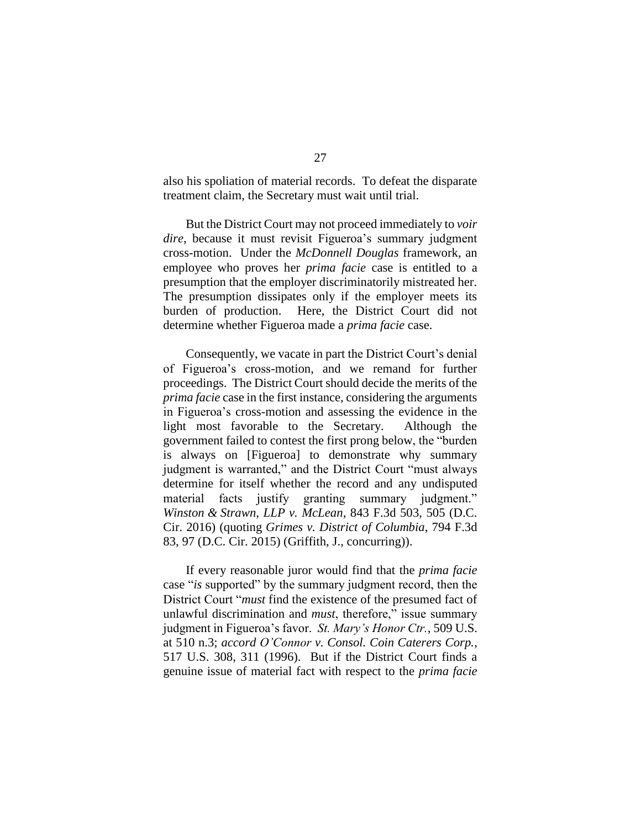also his spoliation of material records. To defeat the disparate treatment claim, the Secretary must wait until trial.

But the District Court may not proceed immediately to *voir dire*, because it must revisit Figueroa's summary judgment cross-motion. Under the *McDonnell Douglas* framework, an employee who proves her *prima facie* case is entitled to a presumption that the employer discriminatorily mistreated her. The presumption dissipates only if the employer meets its burden of production. Here, the District Court did not determine whether Figueroa made a *prima facie* case.

Consequently, we vacate in part the District Court's denial of Figueroa's cross-motion, and we remand for further proceedings. The District Court should decide the merits of the *prima facie* case in the first instance, considering the arguments in Figueroa's cross-motion and assessing the evidence in the light most favorable to the Secretary. Although the government failed to contest the first prong below, the "burden is always on [Figueroa] to demonstrate why summary judgment is warranted," and the District Court "must always determine for itself whether the record and any undisputed material facts justify granting summary judgment." *Winston & Strawn, LLP v. McLean*, 843 F.3d 503, 505 (D.C. Cir. 2016) (quoting *Grimes v. District of Columbia*, 794 F.3d 83, 97 (D.C. Cir. 2015) (Griffith, J., concurring)).

If every reasonable juror would find that the *prima facie*  case "*is* supported" by the summary judgment record, then the District Court "*must* find the existence of the presumed fact of unlawful discrimination and *must*, therefore," issue summary judgment in Figueroa's favor. *St. Mary's Honor Ctr.*, 509 U.S. at 510 n.3; *accord O'Connor v. Consol. Coin Caterers Corp.*, 517 U.S. 308, 311 (1996). But if the District Court finds a genuine issue of material fact with respect to the *prima facie*